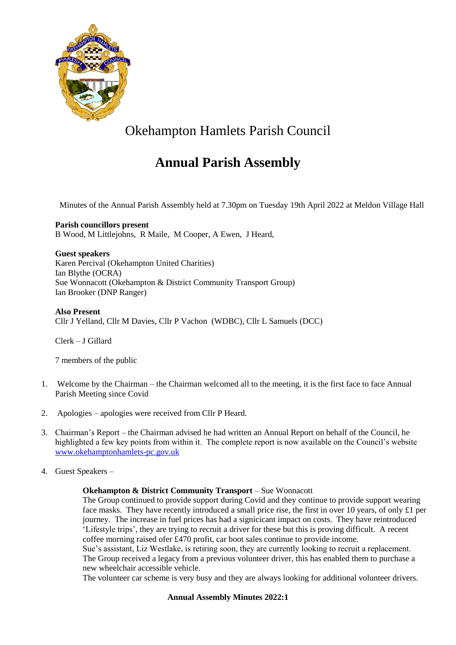

# Okehampton Hamlets Parish Council

## **Annual Parish Assembly**

Minutes of the Annual Parish Assembly held at 7.30pm on Tuesday 19th April 2022 at Meldon Village Hall

**Parish councillors present** B Wood, M Littlejohns, R Maile, M Cooper, A Ewen, J Heard,

**Guest speakers** Karen Percival (Okehampton United Charities) Ian Blythe (OCRA) Sue Wonnacott (Okehampton & District Community Transport Group) Ian Brooker (DNP Ranger)

**Also Present** Cllr J Yelland, Cllr M Davies, Cllr P Vachon (WDBC), Cllr L Samuels (DCC)

Clerk – J Gillard

7 members of the public

- 1. Welcome by the Chairman the Chairman welcomed all to the meeting, it is the first face to face Annual Parish Meeting since Covid
- 2. Apologies apologies were received from Cllr P Heard.
- 3. Chairman's Report the Chairman advised he had written an Annual Report on behalf of the Council, he highlighted a few key points from within it. The complete report is now available on the Council's website [www.okehamptonhamlets-pc.gov.uk](http://www.okehamptonhamlets-pc.gov.uk/)
- 4. Guest Speakers –

#### **Okehampton & District Community Transport** – Sue Wonnacott

The Group continued to provide support during Covid and they continue to provide support wearing face masks. They have recently introduced a small price rise, the first in over 10 years, of only £1 per journey. The increase in fuel prices has had a signicicant impact on costs. They have reintroduced 'Lifestyle trips', they are trying to recruit a driver for these but this is proving difficult. A recent coffee morning raised ofer £470 profit, car boot sales continue to provide income.

Sue's assistant, Liz Westlake, is retiring soon, they are currently looking to recruit a replacement. The Group received a legacy from a previous volunteer driver, this has enabled them to purchase a new wheelchair accessible vehicle.

The volunteer car scheme is very busy and they are always looking for additional volunteer drivers.

#### **Annual Assembly Minutes 2022:1**